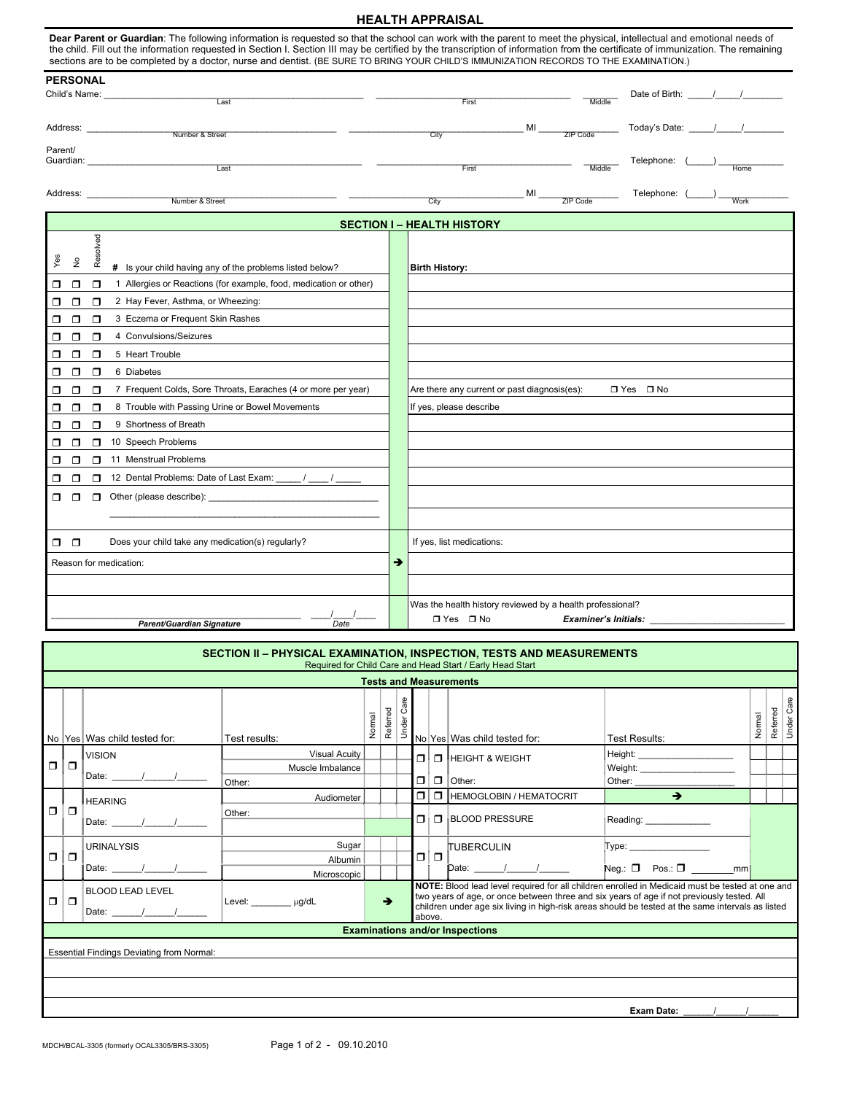## **HEALTH APPRAISAL**

|                                                                                                                                                                                                                                                                                                                                                                                                                                                                                                    | <b>HEALTH APPRAISAL</b> |                                                                      |  |  |  |  |  |  |  |  |
|----------------------------------------------------------------------------------------------------------------------------------------------------------------------------------------------------------------------------------------------------------------------------------------------------------------------------------------------------------------------------------------------------------------------------------------------------------------------------------------------------|-------------------------|----------------------------------------------------------------------|--|--|--|--|--|--|--|--|
| Dear Parent or Guardian: The following information is requested so that the school can work with the parent to meet the physical, intellectual and emotional needs of<br>the child. Fill out the information requested in Section I. Section III may be certified by the transcription of information from the certificate of immunization. The remaining<br>sections are to be completed by a doctor, nurse and dentist. (BE SURE TO BRING YOUR CHILD'S IMMUNIZATION RECORDS TO THE EXAMINATION.) |                         |                                                                      |  |  |  |  |  |  |  |  |
| <b>PERSONAL</b>                                                                                                                                                                                                                                                                                                                                                                                                                                                                                    |                         |                                                                      |  |  |  |  |  |  |  |  |
| Child's Name: The Child's Name:<br>Last                                                                                                                                                                                                                                                                                                                                                                                                                                                            |                         | Middle<br>First                                                      |  |  |  |  |  |  |  |  |
|                                                                                                                                                                                                                                                                                                                                                                                                                                                                                                    |                         |                                                                      |  |  |  |  |  |  |  |  |
|                                                                                                                                                                                                                                                                                                                                                                                                                                                                                                    |                         | MI ZIP Code                                                          |  |  |  |  |  |  |  |  |
| Number & Street                                                                                                                                                                                                                                                                                                                                                                                                                                                                                    |                         | City                                                                 |  |  |  |  |  |  |  |  |
| Parent/                                                                                                                                                                                                                                                                                                                                                                                                                                                                                            |                         |                                                                      |  |  |  |  |  |  |  |  |
| Last                                                                                                                                                                                                                                                                                                                                                                                                                                                                                               |                         | Middle<br>First                                                      |  |  |  |  |  |  |  |  |
|                                                                                                                                                                                                                                                                                                                                                                                                                                                                                                    |                         | Telephone: (_____) Work                                              |  |  |  |  |  |  |  |  |
| Number & Street                                                                                                                                                                                                                                                                                                                                                                                                                                                                                    |                         | MI ZIP Code<br>City                                                  |  |  |  |  |  |  |  |  |
| <b>SECTION I – HEALTH HISTORY</b>                                                                                                                                                                                                                                                                                                                                                                                                                                                                  |                         |                                                                      |  |  |  |  |  |  |  |  |
|                                                                                                                                                                                                                                                                                                                                                                                                                                                                                                    |                         |                                                                      |  |  |  |  |  |  |  |  |
| Resolved                                                                                                                                                                                                                                                                                                                                                                                                                                                                                           |                         |                                                                      |  |  |  |  |  |  |  |  |
| Yes<br>$\frac{1}{2}$<br># Is your child having any of the problems listed below?                                                                                                                                                                                                                                                                                                                                                                                                                   |                         | <b>Birth History:</b>                                                |  |  |  |  |  |  |  |  |
| 1 Allergies or Reactions (for example, food, medication or other)<br>$\Box$<br>π<br>α.                                                                                                                                                                                                                                                                                                                                                                                                             |                         |                                                                      |  |  |  |  |  |  |  |  |
| 2 Hay Fever, Asthma, or Wheezing:<br>$\Box$<br>π                                                                                                                                                                                                                                                                                                                                                                                                                                                   |                         |                                                                      |  |  |  |  |  |  |  |  |
| 3 Eczema or Frequent Skin Rashes<br>σ<br>$\Box$<br>Π                                                                                                                                                                                                                                                                                                                                                                                                                                               |                         |                                                                      |  |  |  |  |  |  |  |  |
| 4 Convulsions/Seizures<br>$\Box$<br>$\Box$<br>□                                                                                                                                                                                                                                                                                                                                                                                                                                                    |                         |                                                                      |  |  |  |  |  |  |  |  |
| 5 Heart Trouble<br>Π<br>$\Box$<br>□                                                                                                                                                                                                                                                                                                                                                                                                                                                                |                         |                                                                      |  |  |  |  |  |  |  |  |
| 6 Diabetes<br>Π<br>π<br>◻                                                                                                                                                                                                                                                                                                                                                                                                                                                                          |                         |                                                                      |  |  |  |  |  |  |  |  |
| $\Box$<br>$\Box$<br>7 Frequent Colds, Sore Throats, Earaches (4 or more per year)<br>σ                                                                                                                                                                                                                                                                                                                                                                                                             |                         | Are there any current or past diagnosis(es):<br>$\Box$ Yes $\Box$ No |  |  |  |  |  |  |  |  |
| 8 Trouble with Passing Urine or Bowel Movements<br>Ω<br>σ<br>◻                                                                                                                                                                                                                                                                                                                                                                                                                                     |                         | If yes, please describe                                              |  |  |  |  |  |  |  |  |
| $\Box$<br>$\Box$<br>9 Shortness of Breath<br>σ                                                                                                                                                                                                                                                                                                                                                                                                                                                     |                         |                                                                      |  |  |  |  |  |  |  |  |
| 10 Speech Problems<br>$\Box$<br>σ<br>π                                                                                                                                                                                                                                                                                                                                                                                                                                                             |                         |                                                                      |  |  |  |  |  |  |  |  |
| 11 Menstrual Problems<br>$\Box$<br>$\Box$<br>σ                                                                                                                                                                                                                                                                                                                                                                                                                                                     |                         |                                                                      |  |  |  |  |  |  |  |  |
| 12 Dental Problems: Date of Last Exam: _____/ ____/ _____<br>$\Box$<br>σ<br>$\Box$                                                                                                                                                                                                                                                                                                                                                                                                                 |                         |                                                                      |  |  |  |  |  |  |  |  |
| $\Box$ Other (please describe):<br>Π.<br>⊓                                                                                                                                                                                                                                                                                                                                                                                                                                                         |                         |                                                                      |  |  |  |  |  |  |  |  |
|                                                                                                                                                                                                                                                                                                                                                                                                                                                                                                    |                         |                                                                      |  |  |  |  |  |  |  |  |
| Does your child take any medication(s) regularly?<br>$\Box$ $\Box$                                                                                                                                                                                                                                                                                                                                                                                                                                 |                         | If yes, list medications:                                            |  |  |  |  |  |  |  |  |
| Reason for medication:                                                                                                                                                                                                                                                                                                                                                                                                                                                                             | ∍                       |                                                                      |  |  |  |  |  |  |  |  |
|                                                                                                                                                                                                                                                                                                                                                                                                                                                                                                    |                         |                                                                      |  |  |  |  |  |  |  |  |
|                                                                                                                                                                                                                                                                                                                                                                                                                                                                                                    |                         | Was the health history reviewed by a health professional?            |  |  |  |  |  |  |  |  |
| <b>Parent/Guardian Signature</b><br>Date                                                                                                                                                                                                                                                                                                                                                                                                                                                           |                         | $\Box$ Yes $\Box$ No<br>Examiner's Initials: _____                   |  |  |  |  |  |  |  |  |
|                                                                                                                                                                                                                                                                                                                                                                                                                                                                                                    |                         |                                                                      |  |  |  |  |  |  |  |  |

|                                                  | SECTION II - PHYSICAL EXAMINATION, INSPECTION, TESTS AND MEASUREMENTS<br>Required for Child Care and Head Start / Early Head Start |                                                          |                                                    |        |               |                                                                                                                                                                                                                                                                                                              |              |      |                                                                                                                                                  |                                                          |        |          |            |
|--------------------------------------------------|------------------------------------------------------------------------------------------------------------------------------------|----------------------------------------------------------|----------------------------------------------------|--------|---------------|--------------------------------------------------------------------------------------------------------------------------------------------------------------------------------------------------------------------------------------------------------------------------------------------------------------|--------------|------|--------------------------------------------------------------------------------------------------------------------------------------------------|----------------------------------------------------------|--------|----------|------------|
| <b>Tests and Measurements</b>                    |                                                                                                                                    |                                                          |                                                    |        |               |                                                                                                                                                                                                                                                                                                              |              |      |                                                                                                                                                  |                                                          |        |          |            |
|                                                  |                                                                                                                                    | No Yes Was child tested for:                             | Test results:                                      | Normal | Referred      | Care<br>Under                                                                                                                                                                                                                                                                                                |              |      | No Yes Was child tested for:                                                                                                                     | Test Results:                                            | Normal | Referred | Under Care |
| σ                                                | o                                                                                                                                  | <b>VISION</b>                                            | <b>Visual Acuity</b><br>Muscle Imbalance<br>Other: |        |               |                                                                                                                                                                                                                                                                                                              | Πł<br>$\Box$ |      | <b>T</b> HEIGHT & WEIGHT<br>$\Box$ Other:                                                                                                        | Height: <b>Example</b><br>Weight: ______________________ |        |          |            |
| $\Box$                                           | $\Box$                                                                                                                             | <b>HEARING</b><br>Date: $\frac{1}{\sqrt{2\pi}}$          | Audiometer<br>Other:                               |        |               |                                                                                                                                                                                                                                                                                                              | σΙ<br>Πi     |      | <b>T</b> HEMOGLOBIN / HEMATOCRIT<br>$\Box$ BLOOD PRESSURE                                                                                        | Reading: _____________                                   |        |          |            |
|                                                  | 0   0                                                                                                                              | <b>URINALYSIS</b><br>Date: $\frac{1}{\sqrt{2\pi}}$       | Sugar<br>Albumin<br>Microscopic                    |        |               |                                                                                                                                                                                                                                                                                                              |              | olol | <b>TUBERCULIN</b><br>$\mathsf{Date:} \begin{array}{c} \begin{array}{c} \begin{array}{c} \end{array} \\ \begin{array}{c} \end{array} \end{array}$ | Type:                                                    |        |          |            |
| $\Box$                                           | 0                                                                                                                                  | <b>BLOOD LEAD LEVEL</b><br>Date: $\frac{1}{\sqrt{2\pi}}$ | Level: µg/dL                                       |        | $\rightarrow$ | NOTE: Blood lead level required for all children enrolled in Medicaid must be tested at one and<br>two years of age, or once between three and six years of age if not previously tested. All<br>children under age six living in high-risk areas should be tested at the same intervals as listed<br>above. |              |      |                                                                                                                                                  |                                                          |        |          |            |
|                                                  | <b>Examinations and/or Inspections</b>                                                                                             |                                                          |                                                    |        |               |                                                                                                                                                                                                                                                                                                              |              |      |                                                                                                                                                  |                                                          |        |          |            |
| <b>Essential Findings Deviating from Normal:</b> |                                                                                                                                    |                                                          |                                                    |        |               |                                                                                                                                                                                                                                                                                                              |              |      |                                                                                                                                                  |                                                          |        |          |            |
|                                                  |                                                                                                                                    |                                                          |                                                    |        |               |                                                                                                                                                                                                                                                                                                              |              |      |                                                                                                                                                  |                                                          |        |          |            |
|                                                  |                                                                                                                                    |                                                          |                                                    |        |               |                                                                                                                                                                                                                                                                                                              |              |      |                                                                                                                                                  |                                                          |        |          |            |
|                                                  | Exam Date:                                                                                                                         |                                                          |                                                    |        |               |                                                                                                                                                                                                                                                                                                              |              |      |                                                                                                                                                  |                                                          |        |          |            |